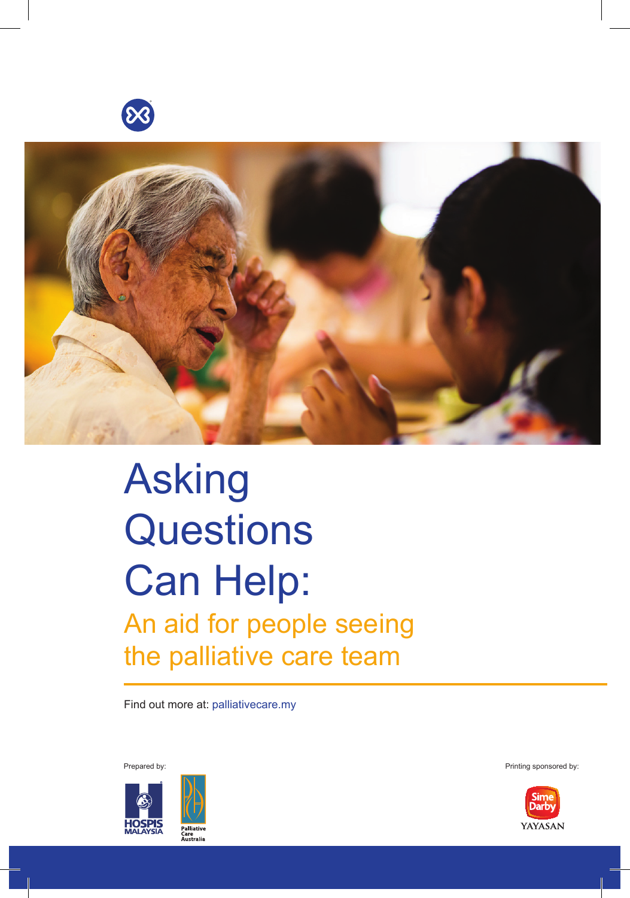



# Asking **Questions** Can Help: An aid for people seeing the palliative care team

Find out more at: palliativecare.my



Prepared by: **Printing sponsored by:** Printing sponsored by:

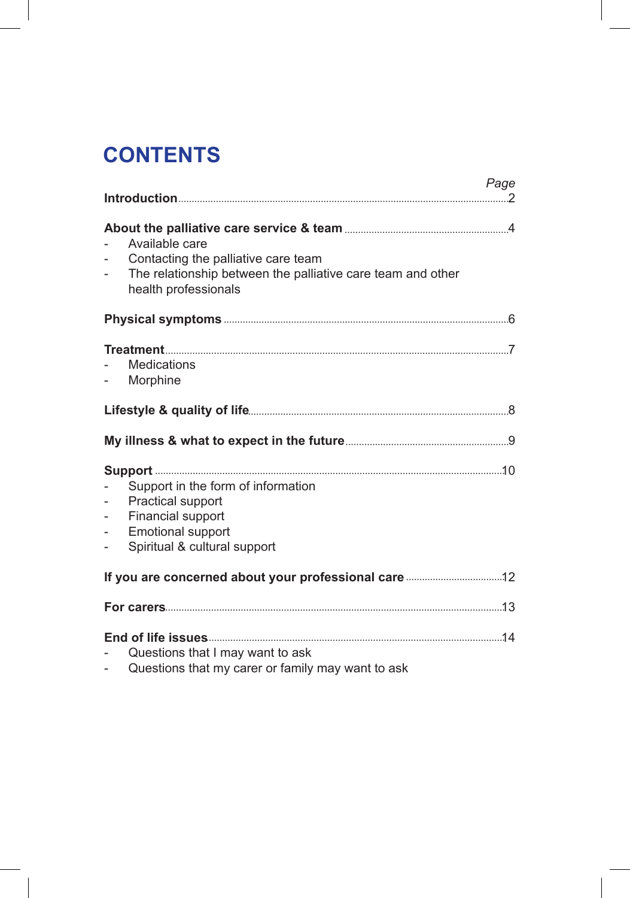# **CONTENTS**

|                                                                                                              | Page                                                                                                                                         |
|--------------------------------------------------------------------------------------------------------------|----------------------------------------------------------------------------------------------------------------------------------------------|
| $\overline{\phantom{0}}$<br>$\overline{\phantom{0}}$                                                         | Available care<br>Contacting the palliative care team<br>The relationship between the palliative care team and other<br>health professionals |
|                                                                                                              |                                                                                                                                              |
| $\sim$                                                                                                       | <b>Medications</b><br>Morphine                                                                                                               |
|                                                                                                              |                                                                                                                                              |
|                                                                                                              |                                                                                                                                              |
|                                                                                                              |                                                                                                                                              |
| $\overline{\phantom{0}}$<br>$\overline{\phantom{0}}$<br>$\overline{\phantom{0}}$<br>$\overline{\phantom{0}}$ | Support in the form of information<br>Practical support<br>Financial support<br><b>Emotional support</b><br>Spiritual & cultural support     |
|                                                                                                              |                                                                                                                                              |
|                                                                                                              |                                                                                                                                              |
| $\overline{a}$<br>$\overline{\phantom{0}}$                                                                   | Questions that I may want to ask<br>Questions that my carer or family may want to ask                                                        |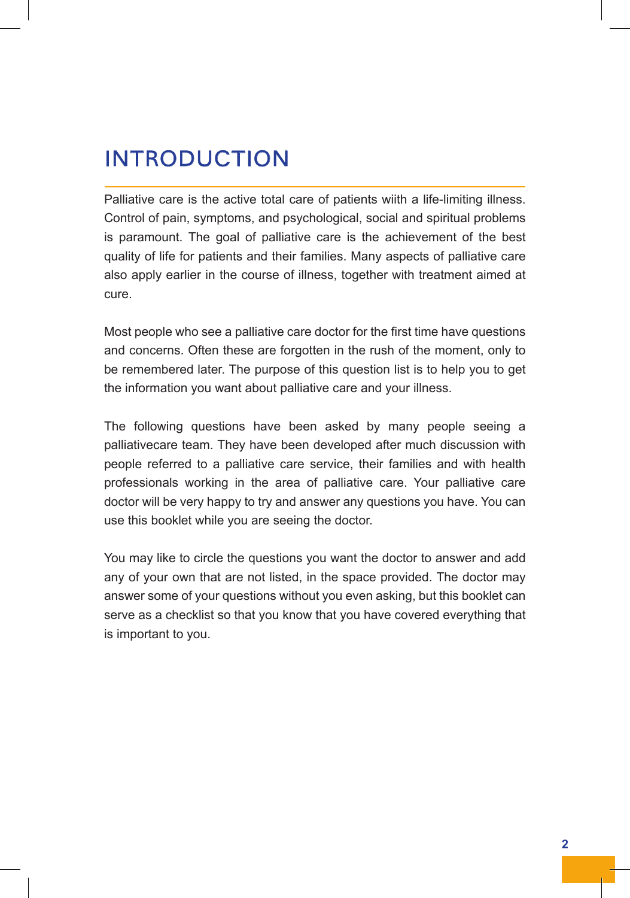# INTRODUCTION

Palliative care is the active total care of patients wiith a life-limiting illness. Control of pain, symptoms, and psychological, social and spiritual problems is paramount. The goal of palliative care is the achievement of the best quality of life for patients and their families. Many aspects of palliative care also apply earlier in the course of illness, together with treatment aimed at cure.

Most people who see a palliative care doctor for the first time have questions and concerns. Often these are forgotten in the rush of the moment, only to be remembered later. The purpose of this question list is to help you to get the information you want about palliative care and your illness.

The following questions have been asked by many people seeing a palliativecare team. They have been developed after much discussion with people referred to a palliative care service, their families and with health professionals working in the area of palliative care. Your palliative care doctor will be very happy to try and answer any questions you have. You can use this booklet while you are seeing the doctor.

You may like to circle the questions you want the doctor to answer and add any of your own that are not listed, in the space provided. The doctor may answer some of your questions without you even asking, but this booklet can serve as a checklist so that you know that you have covered everything that is important to you.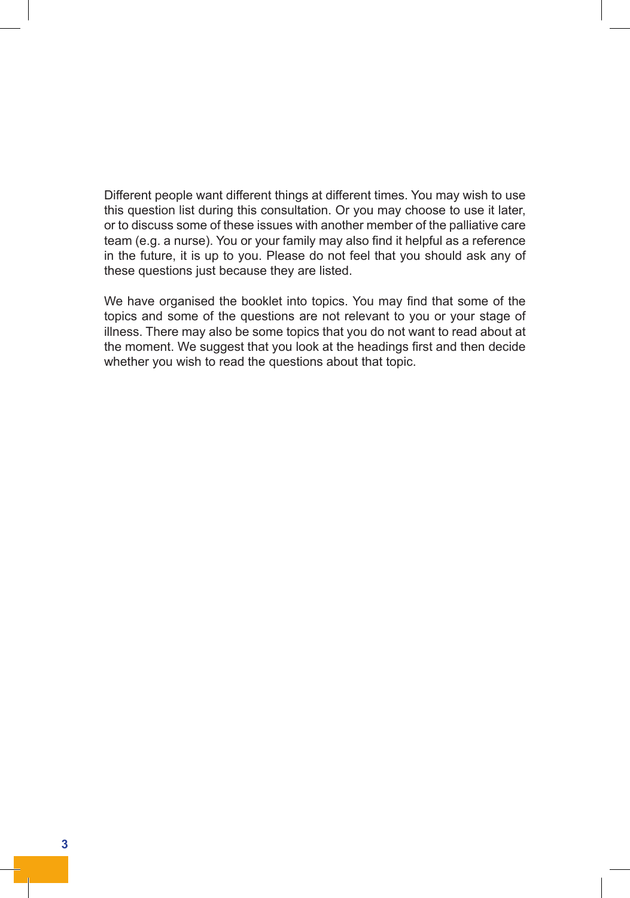Different people want different things at different times. You may wish to use this question list during this consultation. Or you may choose to use it later, or to discuss some of these issues with another member of the palliative care team (e.g. a nurse). You or your family may also find it helpful as a reference in the future, it is up to you. Please do not feel that you should ask any of these questions just because they are listed.

We have organised the booklet into topics. You may find that some of the topics and some of the questions are not relevant to you or your stage of illness. There may also be some topics that you do not want to read about at the moment. We suggest that you look at the headings first and then decide whether you wish to read the questions about that topic.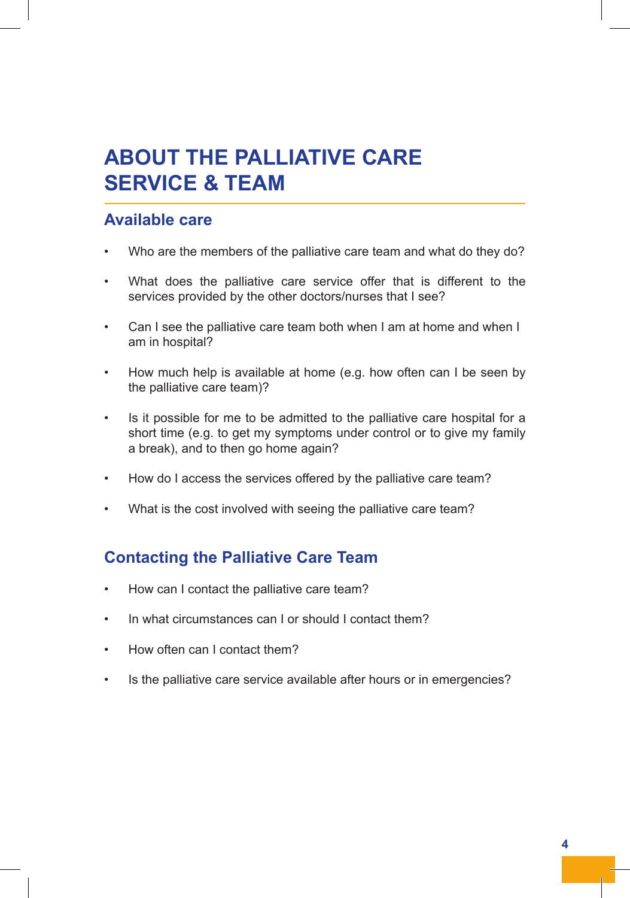# **ABOUT THE PALLIATIVE CARE SERVICE & TEAM**

### **Available care**

- Who are the members of the palliative care team and what do they do?
- What does the palliative care service offer that is different to the services provided by the other doctors/nurses that I see?
- Can I see the palliative care team both when I am at home and when I am in hospital?
- How much help is available at home (e.g. how often can I be seen by the palliative care team)?
- Is it possible for me to be admitted to the palliative care hospital for a short time (e.g. to get my symptoms under control or to give my family a break), and to then go home again?
- How do I access the services offered by the palliative care team?
- What is the cost involved with seeing the palliative care team?

### **Contacting the Palliative Care Team**

- How can I contact the palliative care team?
- In what circumstances can I or should I contact them?
- How often can I contact them?
- Is the palliative care service available after hours or in emergencies?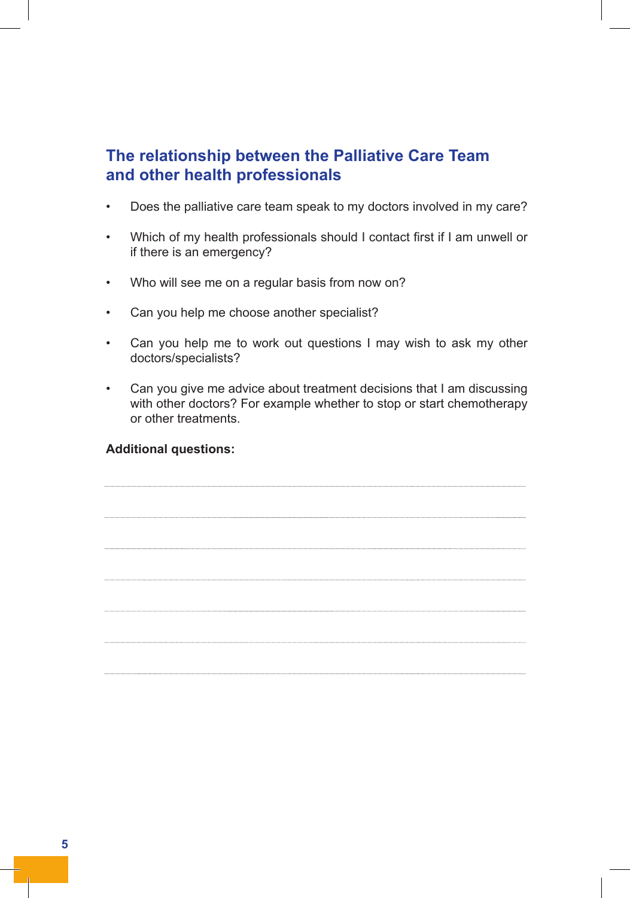### **The relationship between the Palliative Care Team and other health professionals**

- Does the palliative care team speak to my doctors involved in my care?
- Which of my health professionals should I contact first if I am unwell or if there is an emergency?
- Who will see me on a regular basis from now on?
- Can you help me choose another specialist?
- Can you help me to work out questions I may wish to ask my other doctors/specialists?
- Can you give me advice about treatment decisions that I am discussing with other doctors? For example whether to stop or start chemotherapy or other treatments.

#### **Additional questions:**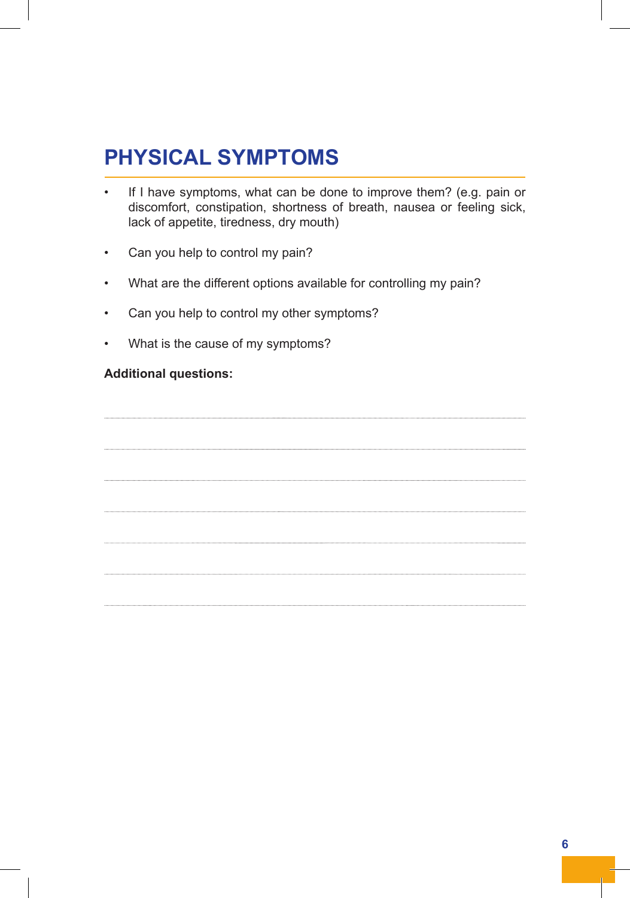## **PHYSICAL SYMPTOMS**

- If I have symptoms, what can be done to improve them? (e.g. pain or discomfort, constipation, shortness of breath, nausea or feeling sick, lack of appetite, tiredness, dry mouth)
- Can you help to control my pain?
- What are the different options available for controlling my pain?
- Can you help to control my other symptoms?
- What is the cause of my symptoms?

#### **Additional questions:**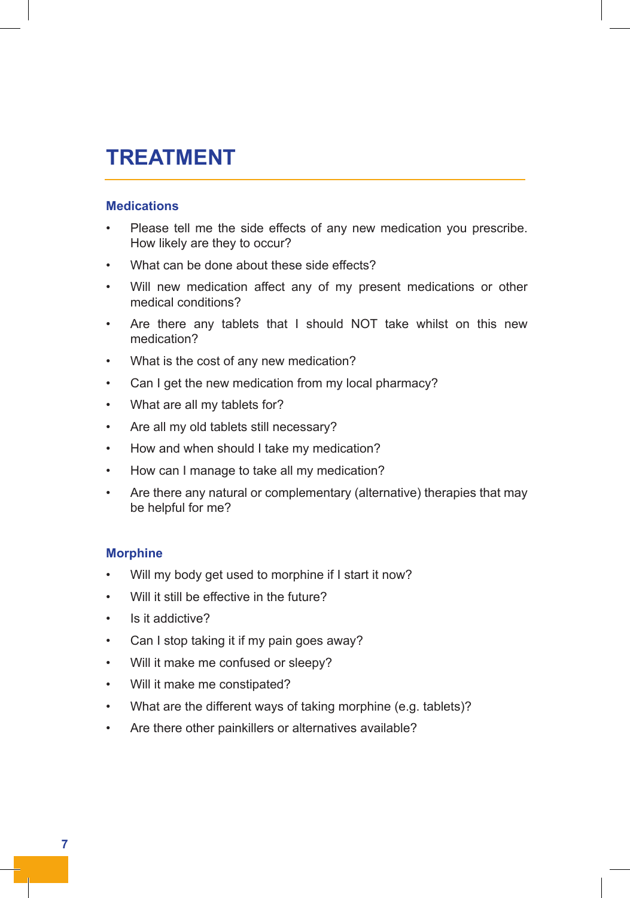### **TREATMENT**

#### **Medications**

- Please tell me the side effects of any new medication you prescribe. How likely are they to occur?
- What can be done about these side effects?
- Will new medication affect any of my present medications or other medical conditions?
- Are there any tablets that I should NOT take whilst on this new medication?
- What is the cost of any new medication?
- Can I get the new medication from my local pharmacy?
- What are all my tablets for?
- Are all my old tablets still necessary?
- How and when should I take my medication?
- How can I manage to take all my medication?
- Are there any natural or complementary (alternative) therapies that may be helpful for me?

#### **Morphine**

- Will my body get used to morphine if I start it now?
- Will it still be effective in the future?
- Is it addictive?
- Can I stop taking it if my pain goes away?
- Will it make me confused or sleepy?
- Will it make me constipated?
- What are the different ways of taking morphine (e.g. tablets)?
- Are there other painkillers or alternatives available?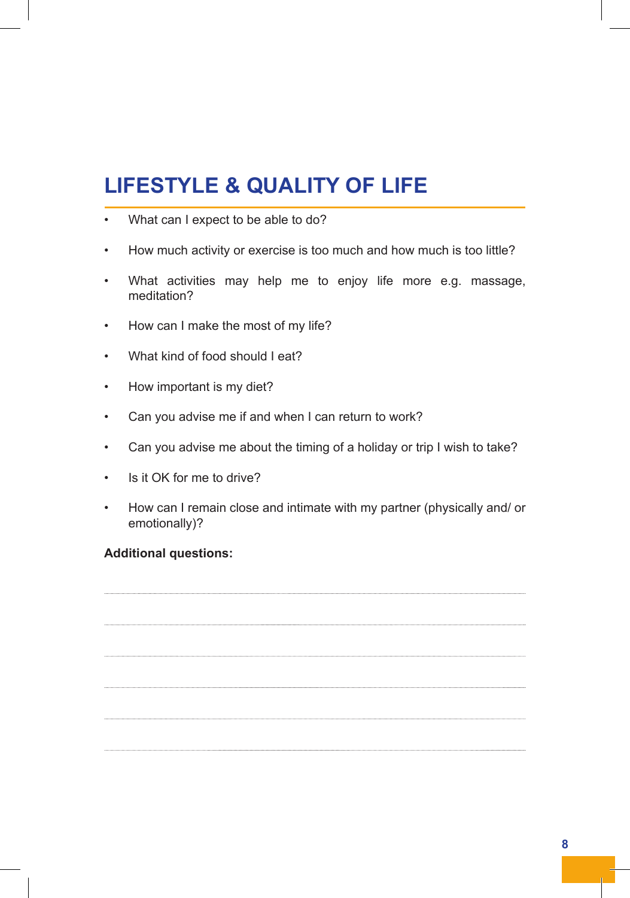# **LIFESTYLE & QUALITY OF LIFE**

- What can I expect to be able to do?
- How much activity or exercise is too much and how much is too little?
- What activities may help me to enjoy life more e.g. massage, meditation?
- How can I make the most of my life?
- What kind of food should I eat?
- How important is my diet?
- Can you advise me if and when I can return to work?
- Can you advise me about the timing of a holiday or trip I wish to take?
- Is it OK for me to drive?
- How can I remain close and intimate with my partner (physically and/ or emotionally)?

#### **Additional questions:**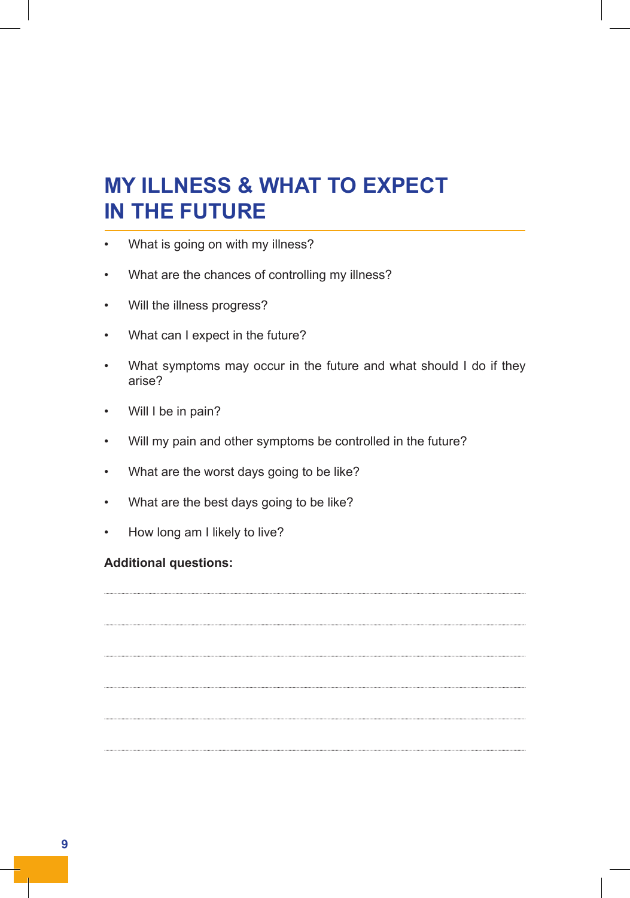# **MY ILLNESS & WHAT TO EXPECT IN THE FUTURE**

- What is going on with my illness?
- What are the chances of controlling my illness?
- Will the illness progress?
- What can I expect in the future?
- What symptoms may occur in the future and what should I do if they arise?
- Will I be in pain?
- Will my pain and other symptoms be controlled in the future?
- What are the worst days going to be like?
- What are the best days going to be like?
- How long am I likely to live?

#### **Additional questions:**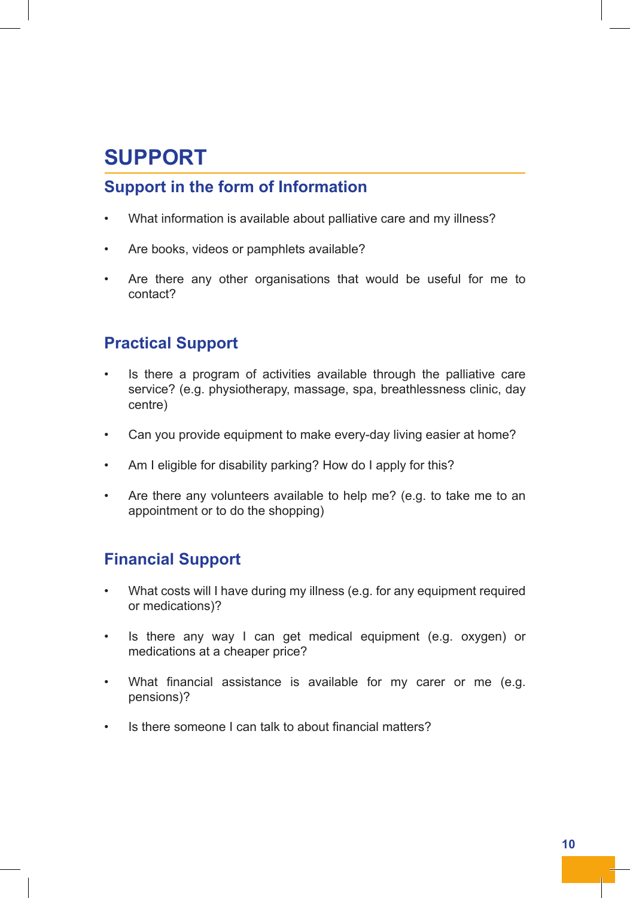# **SUPPORT**

### **Support in the form of Information**

- What information is available about palliative care and my illness?
- Are books, videos or pamphlets available?
- Are there any other organisations that would be useful for me to contact?

### **Practical Support**

- Is there a program of activities available through the palliative care service? (e.g. physiotherapy, massage, spa, breathlessness clinic, day centre)
- Can you provide equipment to make every-day living easier at home?
- Am I eligible for disability parking? How do I apply for this?
- Are there any volunteers available to help me? (e.g. to take me to an appointment or to do the shopping)

#### **Financial Support**

- What costs will I have during my illness (e.g. for any equipment required or medications)?
- Is there any way I can get medical equipment (e.g. oxygen) or medications at a cheaper price?
- What financial assistance is available for my carer or me (e.g. pensions)?
- Is there someone I can talk to about financial matters?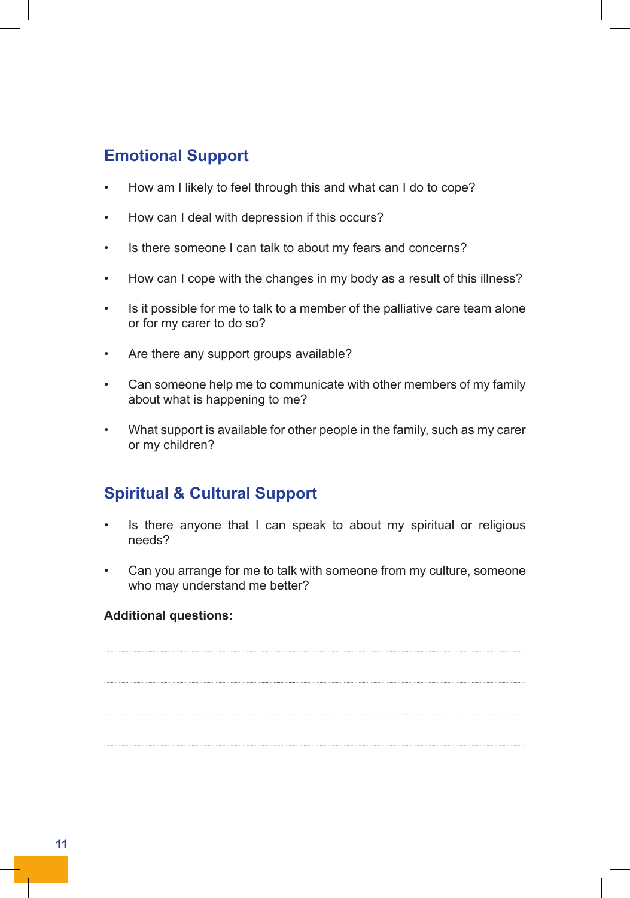### **Emotional Support**

- How am I likely to feel through this and what can I do to cope?
- How can I deal with depression if this occurs?
- Is there someone I can talk to about my fears and concerns?
- How can I cope with the changes in my body as a result of this illness?
- Is it possible for me to talk to a member of the palliative care team alone or for my carer to do so?
- Are there any support groups available?
- Can someone help me to communicate with other members of my family about what is happening to me?
- What support is available for other people in the family, such as my carer or my children?

### **Spiritual & Cultural Support**

- Is there anyone that I can speak to about my spiritual or religious needs?
- Can you arrange for me to talk with someone from my culture, someone who may understand me better?

#### **Additional questions:**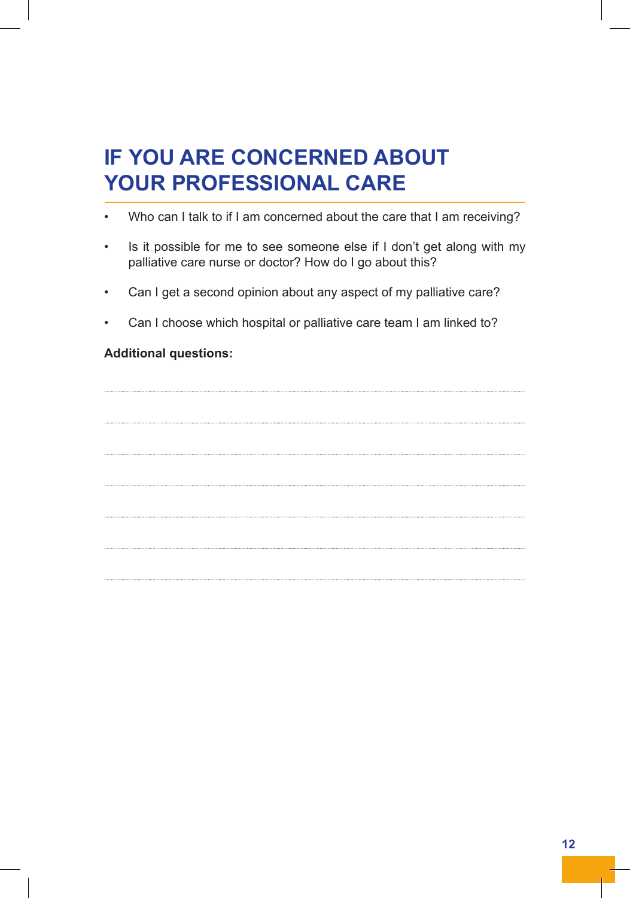# **IF YOU ARE CONCERNED ABOUT YOUR PROFESSIONAL CARE**

- Who can I talk to if I am concerned about the care that I am receiving?
- Is it possible for me to see someone else if I don't get along with my palliative care nurse or doctor? How do I go about this?
- Can I get a second opinion about any aspect of my palliative care?
- Can I choose which hospital or palliative care team I am linked to?

#### **Additional questions:**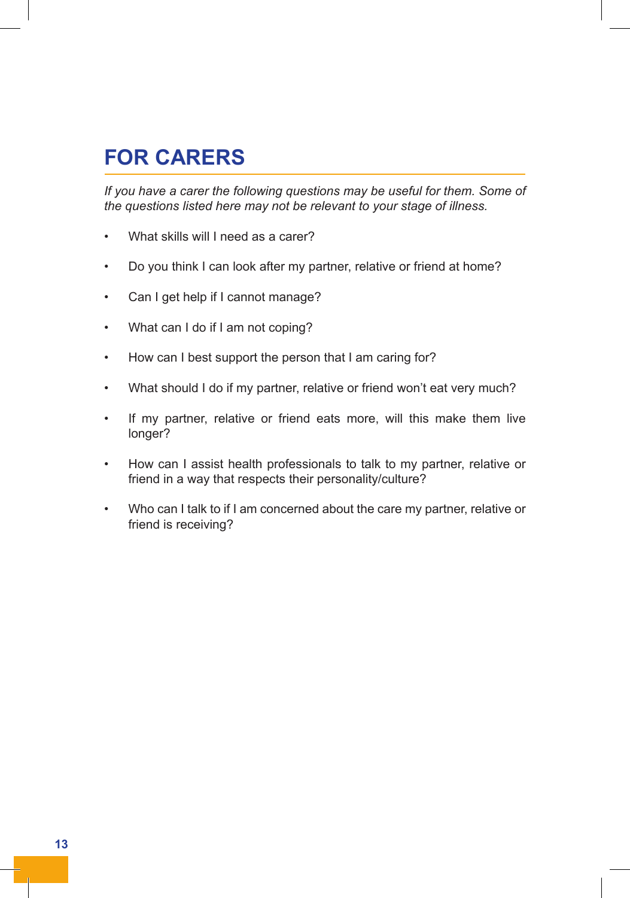## **FOR CARERS**

*If you have a carer the following questions may be useful for them. Some of the questions listed here may not be relevant to your stage of illness.*

- What skills will I need as a carer?
- Do you think I can look after my partner, relative or friend at home?
- Can I get help if I cannot manage?
- What can I do if I am not coping?
- How can I best support the person that I am caring for?
- What should I do if my partner, relative or friend won't eat very much?
- If my partner, relative or friend eats more, will this make them live longer?
- How can I assist health professionals to talk to my partner, relative or friend in a way that respects their personality/culture?
- Who can I talk to if I am concerned about the care my partner, relative or friend is receiving?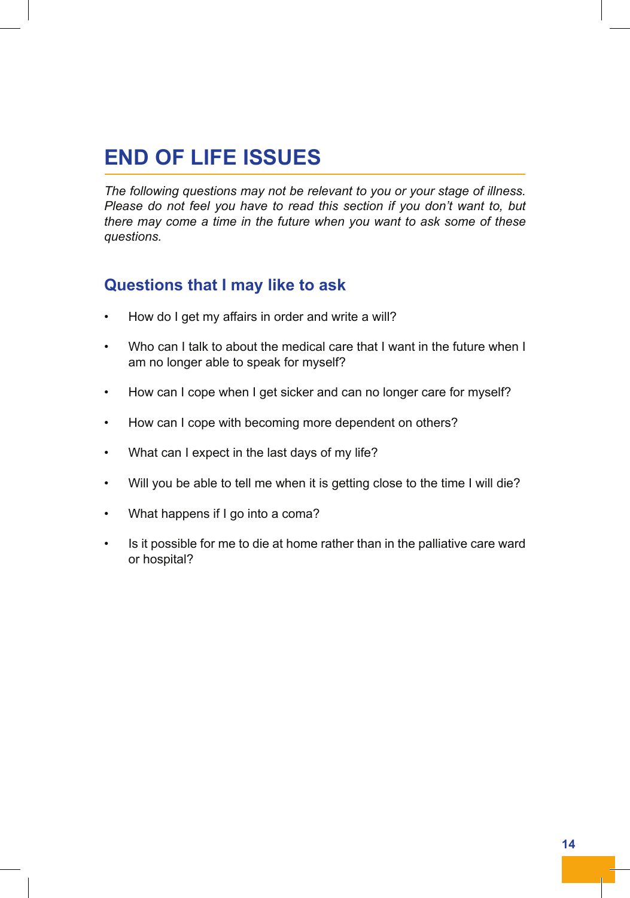# **END OF LIFE ISSUES**

*The following questions may not be relevant to you or your stage of illness. Please do not feel you have to read this section if you don't want to, but there may come a time in the future when you want to ask some of these questions.*

#### **Questions that I may like to ask**

- How do I get my affairs in order and write a will?
- Who can I talk to about the medical care that I want in the future when I am no longer able to speak for myself?
- How can I cope when I get sicker and can no longer care for myself?
- How can I cope with becoming more dependent on others?
- What can I expect in the last days of my life?
- Will you be able to tell me when it is getting close to the time I will die?
- What happens if I go into a coma?
- Is it possible for me to die at home rather than in the palliative care ward or hospital?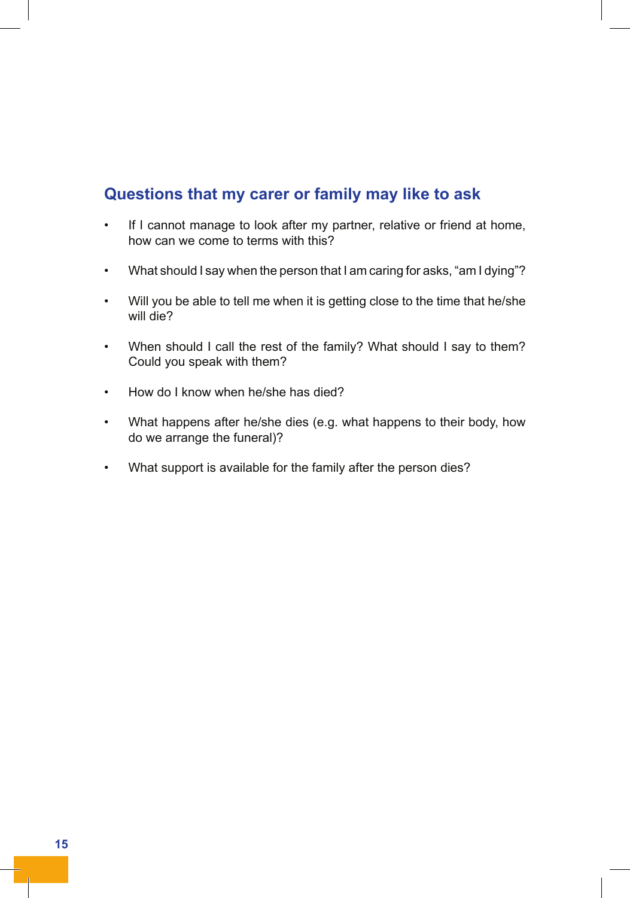### **Questions that my carer or family may like to ask**

- If I cannot manage to look after my partner, relative or friend at home, how can we come to terms with this?
- What should I say when the person that I am caring for asks, "am I dying"?
- Will you be able to tell me when it is getting close to the time that he/she will die?
- When should I call the rest of the family? What should I say to them? Could you speak with them?
- How do I know when he/she has died?
- What happens after he/she dies (e.g. what happens to their body, how do we arrange the funeral)?
- What support is available for the family after the person dies?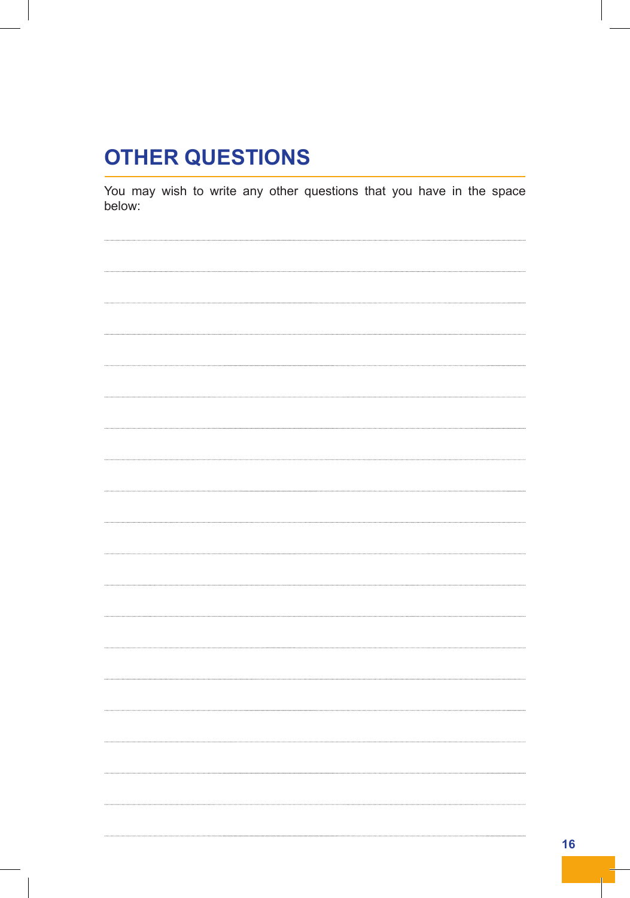### **OTHER QUESTIONS**

You may wish to write any other questions that you have in the space below: